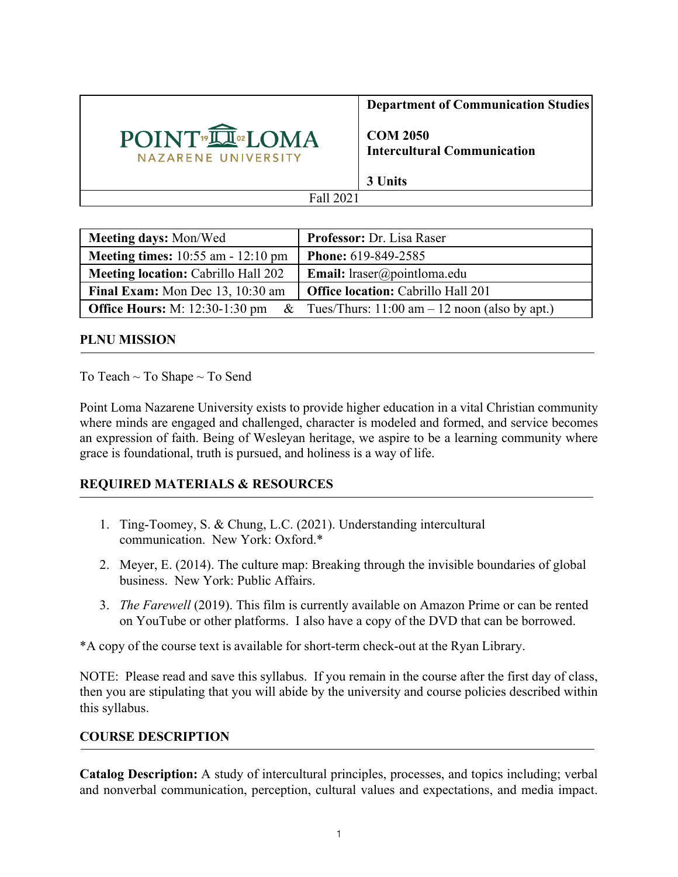

**Department of Communication Studies**

**COM 2050 Intercultural Communication**

**3 Units**

| <b>Meeting days: Mon/Wed</b>                 | <b>Professor: Dr. Lisa Raser</b>                                                        |  |
|----------------------------------------------|-----------------------------------------------------------------------------------------|--|
| <b>Meeting times:</b> $10:55$ am $-12:10$ pm | <b>Phone: 619-849-2585</b>                                                              |  |
| <b>Meeting location: Cabrillo Hall 202</b>   | <b>Email:</b> lraser@pointloma.edu                                                      |  |
| Final Exam: Mon Dec 13, 10:30 am             | <b>Office location: Cabrillo Hall 201</b>                                               |  |
|                                              | <b>Office Hours:</b> M: 12:30-1:30 pm & Tues/Thurs: 11:00 am $-$ 12 noon (also by apt.) |  |

#### **PLNU MISSION**

To Teach ~ To Shape ~ To Send

Point Loma Nazarene University exists to provide higher education in a vital Christian community where minds are engaged and challenged, character is modeled and formed, and service becomes an expression of faith. Being of Wesleyan heritage, we aspire to be a learning community where grace is foundational, truth is pursued, and holiness is a way of life.

## **REQUIRED MATERIALS & RESOURCES**

- 1. Ting-Toomey, S. & Chung, L.C. (2021). Understanding intercultural communication. New York: Oxford.\*
- 2. Meyer, E. (2014). The culture map: Breaking through the invisible boundaries of global business. New York: Public Affairs.
- 3. *The Farewell* (2019). This film is currently available on Amazon Prime or can be rented on YouTube or other platforms. I also have a copy of the DVD that can be borrowed.

\*A copy of the course text is available for short-term check-out at the Ryan Library.

NOTE: Please read and save this syllabus. If you remain in the course after the first day of class, then you are stipulating that you will abide by the university and course policies described within this syllabus.

#### **COURSE DESCRIPTION**

**Catalog Description:** A study of intercultural principles, processes, and topics including; verbal and nonverbal communication, perception, cultural values and expectations, and media impact.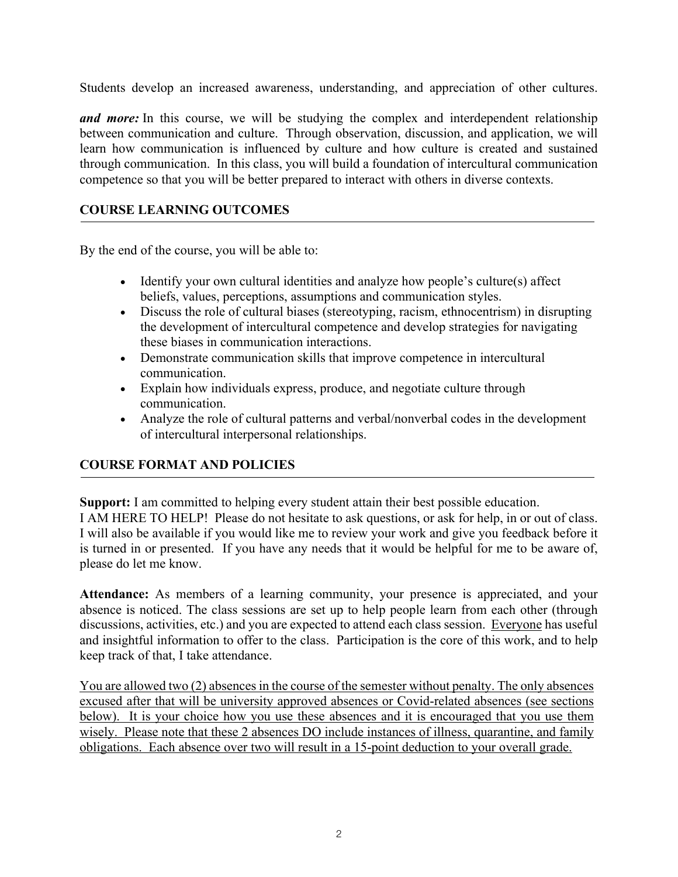Students develop an increased awareness, understanding, and appreciation of other cultures.

*and more*: In this course, we will be studying the complex and interdependent relationship between communication and culture. Through observation, discussion, and application, we will learn how communication is influenced by culture and how culture is created and sustained through communication. In this class, you will build a foundation of intercultural communication competence so that you will be better prepared to interact with others in diverse contexts.

## **COURSE LEARNING OUTCOMES**

By the end of the course, you will be able to:

- Identify your own cultural identities and analyze how people's culture(s) affect beliefs, values, perceptions, assumptions and communication styles.
- Discuss the role of cultural biases (stereotyping, racism, ethnocentrism) in disrupting the development of intercultural competence and develop strategies for navigating these biases in communication interactions.
- Demonstrate communication skills that improve competence in intercultural communication.
- Explain how individuals express, produce, and negotiate culture through communication.
- Analyze the role of cultural patterns and verbal/nonverbal codes in the development of intercultural interpersonal relationships.

## **COURSE FORMAT AND POLICIES**

**Support:** I am committed to helping every student attain their best possible education. I AM HERE TO HELP! Please do not hesitate to ask questions, or ask for help, in or out of class. I will also be available if you would like me to review your work and give you feedback before it is turned in or presented. If you have any needs that it would be helpful for me to be aware of, please do let me know.

**Attendance:** As members of a learning community, your presence is appreciated, and your absence is noticed. The class sessions are set up to help people learn from each other (through discussions, activities, etc.) and you are expected to attend each class session. Everyone has useful and insightful information to offer to the class. Participation is the core of this work, and to help keep track of that, I take attendance.

You are allowed two (2) absences in the course of the semester without penalty. The only absences excused after that will be university approved absences or Covid-related absences (see sections below). It is your choice how you use these absences and it is encouraged that you use them wisely. Please note that these 2 absences DO include instances of illness, quarantine, and family obligations. Each absence over two will result in a 15-point deduction to your overall grade.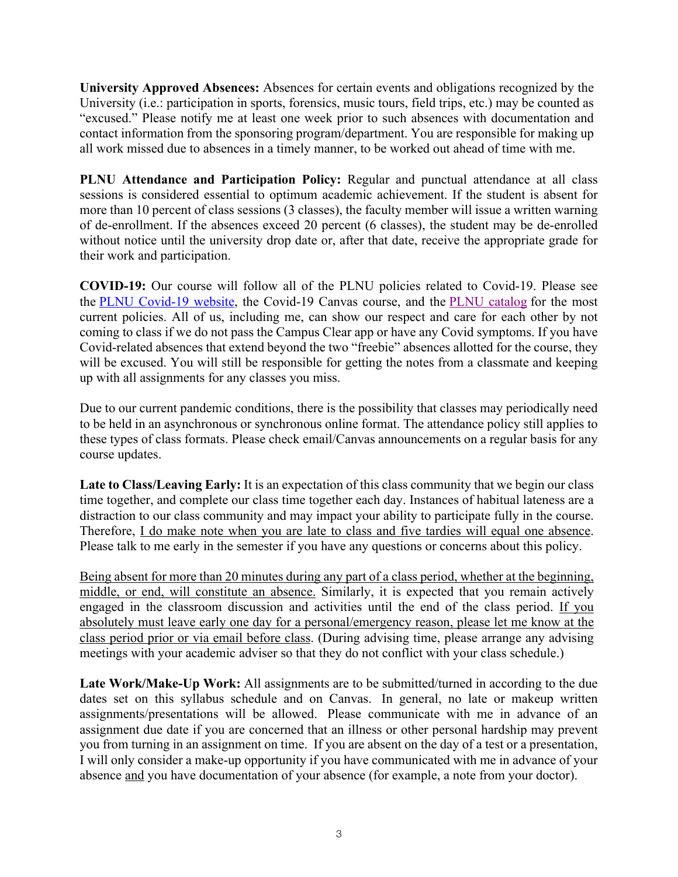**University Approved Absences:** Absences for certain events and obligations recognized by the University (i.e.: participation in sports, forensics, music tours, field trips, etc.) may be counted as "excused." Please notify me at least one week prior to such absences with documentation and contact information from the sponsoring program/department. You are responsible for making up all work missed due to absences in a timely manner, to be worked out ahead of time with me.

**PLNU Attendance and Participation Policy:** Regular and punctual attendance at all class sessions is considered essential to optimum academic achievement. If the student is absent for more than 10 percent of class sessions (3 classes), the faculty member will issue a written warning of de-enrollment. If the absences exceed 20 percent (6 classes), the student may be de-enrolled without notice until the university drop date or, after that date, receive the appropriate grade for their work and participation.

**COVID-19:** Our course will follow all of the PLNU policies related to Covid-19. Please see the PLNU Covid-19 website, the Covid-19 Canvas course, and the PLNU catalog for the most current policies. All of us, including me, can show our respect and care for each other by not coming to class if we do not pass the Campus Clear app or have any Covid symptoms. If you have Covid-related absences that extend beyond the two "freebie" absences allotted for the course, they will be excused. You will still be responsible for getting the notes from a classmate and keeping up with all assignments for any classes you miss.

Due to our current pandemic conditions, there is the possibility that classes may periodically need to be held in an asynchronous or synchronous online format. The attendance policy still applies to these types of class formats. Please check email/Canvas announcements on a regular basis for any course updates.

Late to Class/Leaving Early: It is an expectation of this class community that we begin our class time together, and complete our class time together each day. Instances of habitual lateness are a distraction to our class community and may impact your ability to participate fully in the course. Therefore, I do make note when you are late to class and five tardies will equal one absence. Please talk to me early in the semester if you have any questions or concerns about this policy.

Being absent for more than 20 minutes during any part of a class period, whether at the beginning, middle, or end, will constitute an absence. Similarly, it is expected that you remain actively engaged in the classroom discussion and activities until the end of the class period. If you absolutely must leave early one day for a personal/emergency reason, please let me know at the class period prior or via email before class. (During advising time, please arrange any advising meetings with your academic adviser so that they do not conflict with your class schedule.)

**Late Work/Make-Up Work:** All assignments are to be submitted/turned in according to the due dates set on this syllabus schedule and on Canvas. In general, no late or makeup written assignments/presentations will be allowed. Please communicate with me in advance of an assignment due date if you are concerned that an illness or other personal hardship may prevent you from turning in an assignment on time. If you are absent on the day of a test or a presentation, I will only consider a make-up opportunity if you have communicated with me in advance of your absence and you have documentation of your absence (for example, a note from your doctor).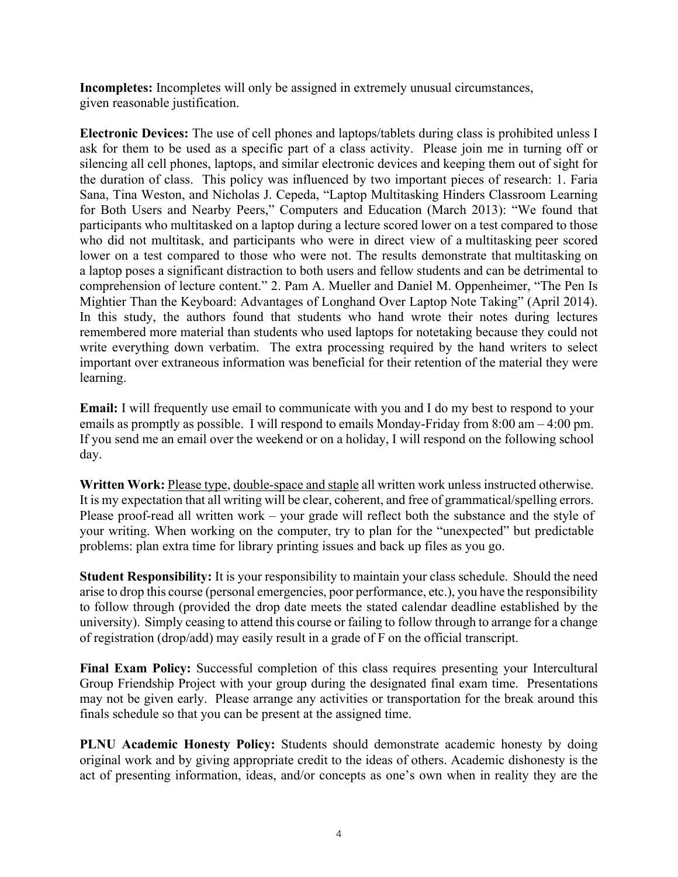**Incompletes:** Incompletes will only be assigned in extremely unusual circumstances, given reasonable justification.

**Electronic Devices:** The use of cell phones and laptops/tablets during class is prohibited unless I ask for them to be used as a specific part of a class activity. Please join me in turning off or silencing all cell phones, laptops, and similar electronic devices and keeping them out of sight for the duration of class. This policy was influenced by two important pieces of research: 1. Faria Sana, Tina Weston, and Nicholas J. Cepeda, "Laptop Multitasking Hinders Classroom Learning for Both Users and Nearby Peers," Computers and Education (March 2013): "We found that participants who multitasked on a laptop during a lecture scored lower on a test compared to those who did not multitask, and participants who were in direct view of a multitasking peer scored lower on a test compared to those who were not. The results demonstrate that multitasking on a laptop poses a significant distraction to both users and fellow students and can be detrimental to comprehension of lecture content." 2. Pam A. Mueller and Daniel M. Oppenheimer, "The Pen Is Mightier Than the Keyboard: Advantages of Longhand Over Laptop Note Taking" (April 2014). In this study, the authors found that students who hand wrote their notes during lectures remembered more material than students who used laptops for notetaking because they could not write everything down verbatim. The extra processing required by the hand writers to select important over extraneous information was beneficial for their retention of the material they were learning.

**Email:** I will frequently use email to communicate with you and I do my best to respond to your emails as promptly as possible. I will respond to emails Monday-Friday from 8:00 am – 4:00 pm. If you send me an email over the weekend or on a holiday, I will respond on the following school day.

**Written Work:** Please type, double-space and staple all written work unless instructed otherwise. It is my expectation that all writing will be clear, coherent, and free of grammatical/spelling errors. Please proof-read all written work – your grade will reflect both the substance and the style of your writing. When working on the computer, try to plan for the "unexpected" but predictable problems: plan extra time for library printing issues and back up files as you go.

**Student Responsibility:** It is your responsibility to maintain your class schedule. Should the need arise to drop this course (personal emergencies, poor performance, etc.), you have the responsibility to follow through (provided the drop date meets the stated calendar deadline established by the university). Simply ceasing to attend this course or failing to follow through to arrange for a change of registration (drop/add) may easily result in a grade of F on the official transcript.

**Final Exam Policy:** Successful completion of this class requires presenting your Intercultural Group Friendship Project with your group during the designated final exam time. Presentations may not be given early. Please arrange any activities or transportation for the break around this finals schedule so that you can be present at the assigned time.

**PLNU Academic Honesty Policy:** Students should demonstrate academic honesty by doing original work and by giving appropriate credit to the ideas of others. Academic dishonesty is the act of presenting information, ideas, and/or concepts as one's own when in reality they are the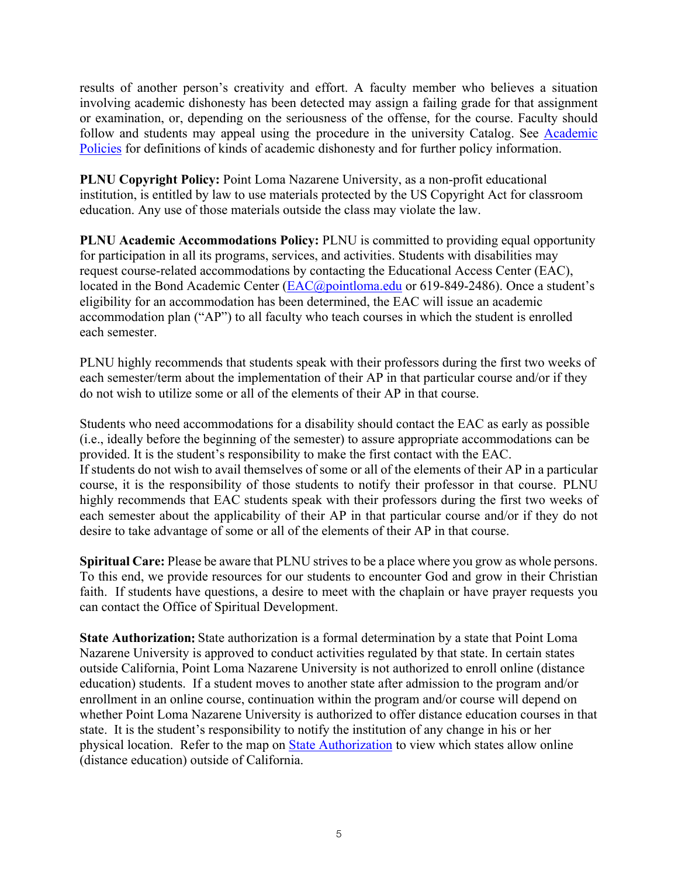results of another person's creativity and effort. A faculty member who believes a situation involving academic dishonesty has been detected may assign a failing grade for that assignment or examination, or, depending on the seriousness of the offense, for the course. Faculty should follow and students may appeal using the procedure in the university Catalog. See Academic Policies for definitions of kinds of academic dishonesty and for further policy information.

**PLNU Copyright Policy:** Point Loma Nazarene University, as a non-profit educational institution, is entitled by law to use materials protected by the US Copyright Act for classroom education. Any use of those materials outside the class may violate the law.

**PLNU Academic Accommodations Policy:** PLNU is committed to providing equal opportunity for participation in all its programs, services, and activities. Students with disabilities may request course-related accommodations by contacting the Educational Access Center (EAC), located in the Bond Academic Center (EAC@pointloma.edu or 619-849-2486). Once a student's eligibility for an accommodation has been determined, the EAC will issue an academic accommodation plan ("AP") to all faculty who teach courses in which the student is enrolled each semester.

PLNU highly recommends that students speak with their professors during the first two weeks of each semester/term about the implementation of their AP in that particular course and/or if they do not wish to utilize some or all of the elements of their AP in that course.

Students who need accommodations for a disability should contact the EAC as early as possible (i.e., ideally before the beginning of the semester) to assure appropriate accommodations can be provided. It is the student's responsibility to make the first contact with the EAC. If students do not wish to avail themselves of some or all of the elements of their AP in a particular course, it is the responsibility of those students to notify their professor in that course. PLNU highly recommends that EAC students speak with their professors during the first two weeks of each semester about the applicability of their AP in that particular course and/or if they do not desire to take advantage of some or all of the elements of their AP in that course.

**Spiritual Care:** Please be aware that PLNU strives to be a place where you grow as whole persons. To this end, we provide resources for our students to encounter God and grow in their Christian faith. If students have questions, a desire to meet with the chaplain or have prayer requests you can contact the Office of Spiritual Development.

**State Authorization:** State authorization is a formal determination by a state that Point Loma Nazarene University is approved to conduct activities regulated by that state. In certain states outside California, Point Loma Nazarene University is not authorized to enroll online (distance education) students. If a student moves to another state after admission to the program and/or enrollment in an online course, continuation within the program and/or course will depend on whether Point Loma Nazarene University is authorized to offer distance education courses in that state. It is the student's responsibility to notify the institution of any change in his or her physical location. Refer to the map on State Authorization to view which states allow online (distance education) outside of California.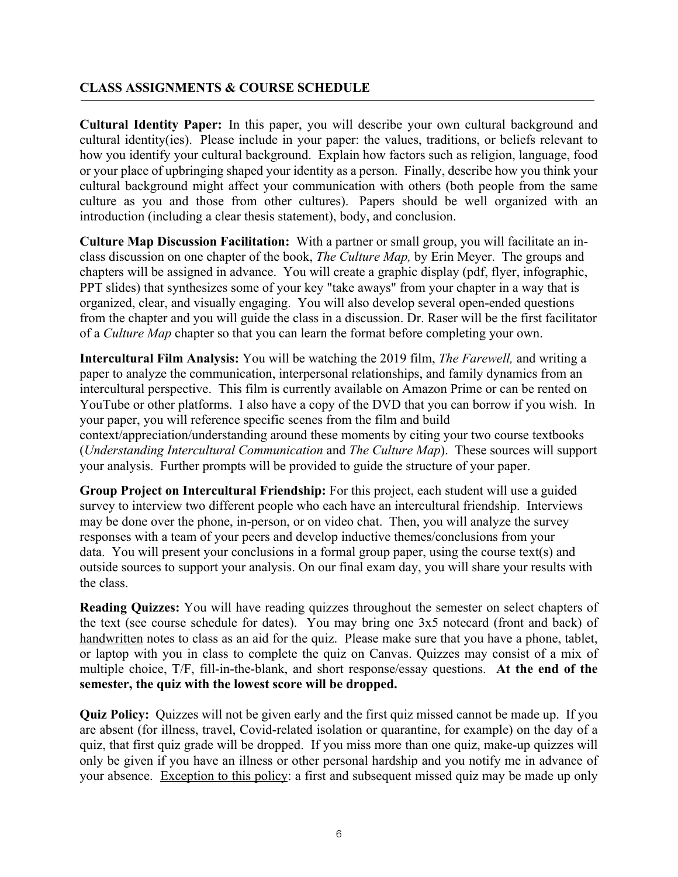## **CLASS ASSIGNMENTS & COURSE SCHEDULE**

**Cultural Identity Paper:** In this paper, you will describe your own cultural background and cultural identity(ies). Please include in your paper: the values, traditions, or beliefs relevant to how you identify your cultural background. Explain how factors such as religion, language, food or your place of upbringing shaped your identity as a person. Finally, describe how you think your cultural background might affect your communication with others (both people from the same culture as you and those from other cultures). Papers should be well organized with an introduction (including a clear thesis statement), body, and conclusion.

**Culture Map Discussion Facilitation:** With a partner or small group, you will facilitate an inclass discussion on one chapter of the book, *The Culture Map,* by Erin Meyer. The groups and chapters will be assigned in advance. You will create a graphic display (pdf, flyer, infographic, PPT slides) that synthesizes some of your key "take aways" from your chapter in a way that is organized, clear, and visually engaging. You will also develop several open-ended questions from the chapter and you will guide the class in a discussion. Dr. Raser will be the first facilitator of a *Culture Map* chapter so that you can learn the format before completing your own.

**Intercultural Film Analysis:** You will be watching the 2019 film, *The Farewell,* and writing a paper to analyze the communication, interpersonal relationships, and family dynamics from an intercultural perspective. This film is currently available on Amazon Prime or can be rented on YouTube or other platforms. I also have a copy of the DVD that you can borrow if you wish. In your paper, you will reference specific scenes from the film and build

context/appreciation/understanding around these moments by citing your two course textbooks (*Understanding Intercultural Communication* and *The Culture Map*). These sources will support your analysis. Further prompts will be provided to guide the structure of your paper.

**Group Project on Intercultural Friendship:** For this project, each student will use a guided survey to interview two different people who each have an intercultural friendship. Interviews may be done over the phone, in-person, or on video chat. Then, you will analyze the survey responses with a team of your peers and develop inductive themes/conclusions from your data. You will present your conclusions in a formal group paper, using the course text(s) and outside sources to support your analysis. On our final exam day, you will share your results with the class.

**Reading Quizzes:** You will have reading quizzes throughout the semester on select chapters of the text (see course schedule for dates). You may bring one 3x5 notecard (front and back) of handwritten notes to class as an aid for the quiz. Please make sure that you have a phone, tablet, or laptop with you in class to complete the quiz on Canvas. Quizzes may consist of a mix of multiple choice, T/F, fill-in-the-blank, and short response/essay questions. **At the end of the semester, the quiz with the lowest score will be dropped.**

**Quiz Policy:** Quizzes will not be given early and the first quiz missed cannot be made up. If you are absent (for illness, travel, Covid-related isolation or quarantine, for example) on the day of a quiz, that first quiz grade will be dropped. If you miss more than one quiz, make-up quizzes will only be given if you have an illness or other personal hardship and you notify me in advance of your absence. Exception to this policy: a first and subsequent missed quiz may be made up only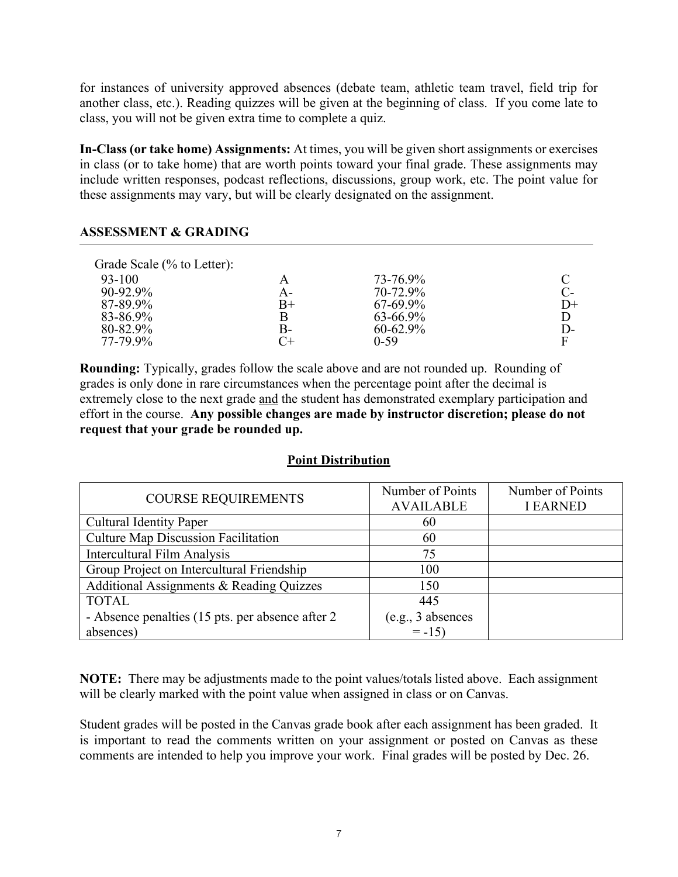for instances of university approved absences (debate team, athletic team travel, field trip for another class, etc.). Reading quizzes will be given at the beginning of class. If you come late to class, you will not be given extra time to complete a quiz.

**In-Class (or take home) Assignments:** At times, you will be given short assignments or exercises in class (or to take home) that are worth points toward your final grade. These assignments may include written responses, podcast reflections, discussions, group work, etc. The point value for these assignments may vary, but will be clearly designated on the assignment.

#### **ASSESSMENT & GRADING**

| Grade Scale (% to Letter): |             |               |      |
|----------------------------|-------------|---------------|------|
| 93-100                     | A           | 73-76.9%      |      |
| 90-92.9%                   | A-          | 70-72.9%      | $C-$ |
| 87-89.9%                   | $_{\rm B+}$ | 67-69.9%      | $D+$ |
| 83-86.9%                   | B           | 63-66.9%      | D    |
| 80-82.9%                   | B-          | $60 - 62.9\%$ | $D-$ |
| 77-79.9%                   |             | $0 - 59$      | F    |

**Rounding:** Typically, grades follow the scale above and are not rounded up. Rounding of grades is only done in rare circumstances when the percentage point after the decimal is extremely close to the next grade and the student has demonstrated exemplary participation and effort in the course. **Any possible changes are made by instructor discretion; please do not request that your grade be rounded up.**

#### **Point Distribution**

| <b>COURSE REQUIREMENTS</b>                        | Number of Points    | Number of Points |
|---------------------------------------------------|---------------------|------------------|
|                                                   | <b>AVAILABLE</b>    | <b>I EARNED</b>  |
| <b>Cultural Identity Paper</b>                    | 60                  |                  |
| <b>Culture Map Discussion Facilitation</b>        | 60                  |                  |
| <b>Intercultural Film Analysis</b>                | 75                  |                  |
| Group Project on Intercultural Friendship         | 100                 |                  |
| Additional Assignments & Reading Quizzes          | 150                 |                  |
| <b>TOTAL</b>                                      | 445                 |                  |
| - Absence penalties (15 pts. per absence after 2) | $(e.g., 3$ absences |                  |
| absences)                                         | $= -15$             |                  |

**NOTE:** There may be adjustments made to the point values/totals listed above. Each assignment will be clearly marked with the point value when assigned in class or on Canvas.

Student grades will be posted in the Canvas grade book after each assignment has been graded. It is important to read the comments written on your assignment or posted on Canvas as these comments are intended to help you improve your work. Final grades will be posted by Dec. 26.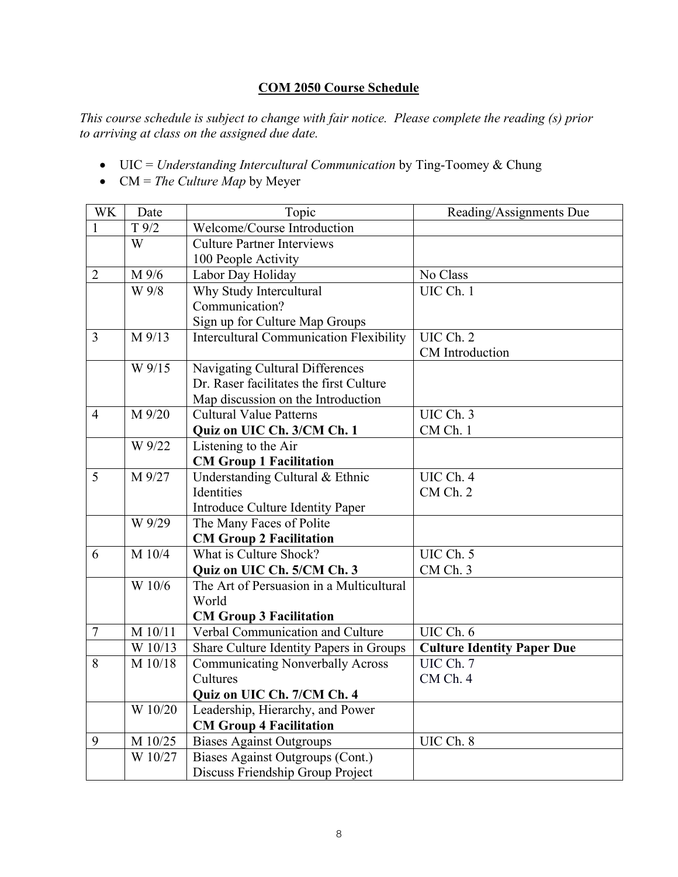# **COM 2050 Course Schedule**

*This course schedule is subject to change with fair notice. Please complete the reading (s) prior to arriving at class on the assigned due date.*

- UIC = *Understanding Intercultural Communication* by Ting-Toomey & Chung
- CM = *The Culture Map* by Meyer

| WK             | Date      | Topic                                          | Reading/Assignments Due           |
|----------------|-----------|------------------------------------------------|-----------------------------------|
| 1              | T 9/2     | Welcome/Course Introduction                    |                                   |
|                | W         | <b>Culture Partner Interviews</b>              |                                   |
|                |           | 100 People Activity                            |                                   |
| $\overline{2}$ | M 9/6     | Labor Day Holiday                              | No Class                          |
|                | W 9/8     | Why Study Intercultural                        | UIC Ch. 1                         |
|                |           | Communication?                                 |                                   |
|                |           | Sign up for Culture Map Groups                 |                                   |
| 3              | M 9/13    | <b>Intercultural Communication Flexibility</b> | UIC Ch. 2                         |
|                |           |                                                | CM Introduction                   |
|                | W 9/15    | Navigating Cultural Differences                |                                   |
|                |           | Dr. Raser facilitates the first Culture        |                                   |
|                |           | Map discussion on the Introduction             |                                   |
| $\overline{4}$ | $M\,9/20$ | <b>Cultural Value Patterns</b>                 | UIC Ch. 3                         |
|                |           | Quiz on UIC Ch. 3/CM Ch. 1                     | CM Ch. 1                          |
|                | W 9/22    | Listening to the Air                           |                                   |
|                |           | <b>CM Group 1 Facilitation</b>                 |                                   |
| 5              | M 9/27    | Understanding Cultural & Ethnic                | UIC Ch. 4                         |
|                |           | Identities                                     | CM <sub>Ch. 2</sub>               |
|                |           | Introduce Culture Identity Paper               |                                   |
|                | W 9/29    | The Many Faces of Polite                       |                                   |
|                |           | <b>CM Group 2 Facilitation</b>                 |                                   |
| 6              | M 10/4    | What is Culture Shock?                         | UIC Ch. 5                         |
|                |           | Quiz on UIC Ch. 5/CM Ch. 3                     | CM Ch. 3                          |
|                | W 10/6    | The Art of Persuasion in a Multicultural       |                                   |
|                |           | World                                          |                                   |
|                |           | <b>CM Group 3 Facilitation</b>                 |                                   |
| $\tau$         | M 10/11   | Verbal Communication and Culture               | UIC Ch. 6                         |
|                | W 10/13   | Share Culture Identity Papers in Groups        | <b>Culture Identity Paper Due</b> |
| 8              | M 10/18   | <b>Communicating Nonverbally Across</b>        | UIC Ch. 7                         |
|                |           | Cultures                                       | CM Ch. 4                          |
|                |           | Quiz on UIC Ch. 7/CM Ch. 4                     |                                   |
|                | W 10/20   | Leadership, Hierarchy, and Power               |                                   |
|                |           | <b>CM Group 4 Facilitation</b>                 |                                   |
| 9              | M 10/25   | <b>Biases Against Outgroups</b>                | UIC Ch. 8                         |
|                | W 10/27   | Biases Against Outgroups (Cont.)               |                                   |
|                |           | Discuss Friendship Group Project               |                                   |